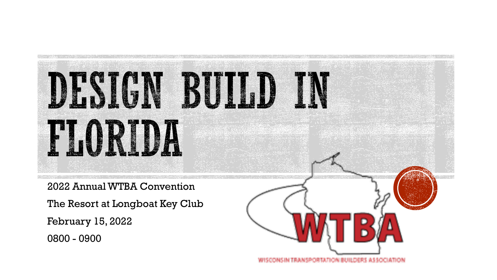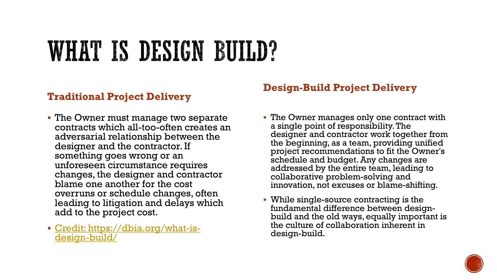### WHAT IS DESIGN BUILD?

#### **Traditional Project Delivery**

- **The Owner must manage two separate** contracts which all-too-often creates an adversarial relationship between the designer and the contractor. If something goes wrong or an unforeseen circumstance requires changes, the designer and contractor blame one another for the cost overruns or schedule changes, often leading to litigation and delays which add to the project cost.
- [Credit: https://dbia.org/what-is](https://dbia.org/what-is-design-build/)design-build/

### **Design-Build Project Delivery**

- **The Owner manages only one contract with** a single point of responsibility. The designer and contractor work together from the beginning, as a team, providing unified project recommendations to fit the Owner's schedule and budget. Any changes are addressed by the entire team, leading to collaborative problem-solving and innovation, not excuses or blame-shifting.
- While single-source contracting is the fundamental difference between designbuild and the old ways, equally important is the culture of collaboration inherent in design-build.

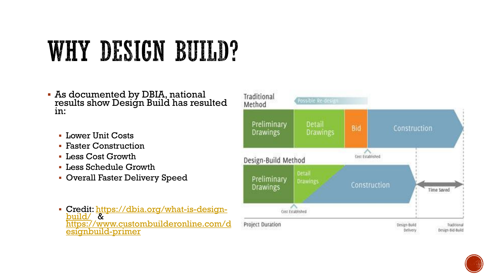### WHY DESIGN BUILD?

- **As documented by DBIA, national** results show Design Build has resulted in:
	- **· Lower Unit Costs**
	- **Faster Construction**
	- Less Cost Growth
	- Less Schedule Growth
	- **Overall Faster Delivery Speed**
	- **[Credit: https://dbia.org/what-is-design](https://dbia.org/what-is-design-build/)**build/ & [https://www.custombuilderonline.com/d](https://www.custombuilderonline.com/designbuild-primer) esignbuild-primer



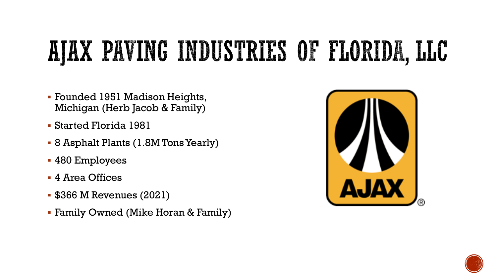# AJAX PAVING INDUSTRIES OF FLORIDA, LLC

- Founded 1951 Madison Heights, Michigan (Herb Jacob & Family)
- Started Florida 1981
- 8 Asphalt Plants (1.8M Tons Yearly)
- 480 Employees
- 4 Area Offices
- \$366 M Revenues (2021)
- Family Owned (Mike Horan & Family)



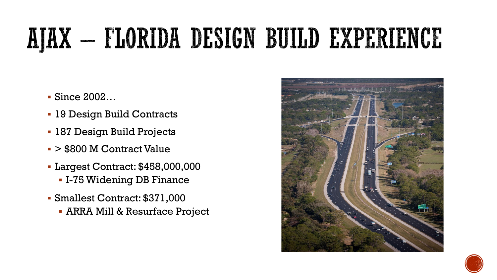### AJAX – FLORIDA DESIGN BUILD EXPERIENCE

- Since 2002…
- 19 Design Build Contracts
- 187 Design Build Projects
- > \$800 M Contract Value
- Largest Contract: \$458,000,000 ▪ I-75 Widening DB Finance
- Smallest Contract: \$371,000
	- ARRA Mill & Resurface Project



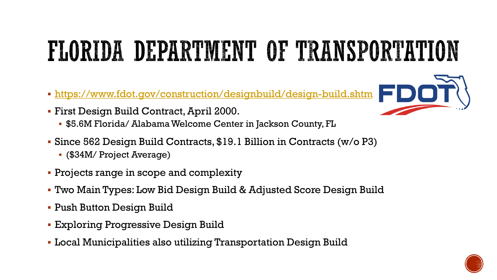## FLORIDA DEPARTMENT OF TRANSPORTATION

- <https://www.fdot.gov/construction/designbuild/design-build.shtm>
- First Design Build Contract, April 2000.
	- \$5.6M Florida/ Alabama Welcome Center in Jackson County, FL
- Since 562 Design Build Contracts, \$19.1 Billion in Contracts (w/o P3)
	- (\$34M/ Project Average)
- Projects range in scope and complexity
- Two Main Types: Low Bid Design Build & Adjusted Score Design Build
- **Push Button Design Build**
- **Exploring Progressive Design Build**
- Local Municipalities also utilizing Transportation Design Build



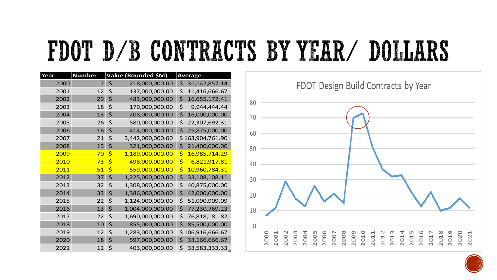### FDOT D/B CONTRACTS BY YEAR/ DOLLARS

| Year | <b>Number</b> | Value (Rounded \$M)    | <b>Average</b>       |
|------|---------------|------------------------|----------------------|
| 2000 | 7             | \$<br>218,000,000.00   | \$<br>31,142,857.14  |
| 2001 | 12            | \$<br>137,000,000.00   | \$<br>11,416,666.67  |
| 2002 | 29            | \$<br>483,000,000.00   | \$<br>16,655,172.41  |
| 2003 | 18            | \$<br>179,000,000.00   | \$<br>9,944,444.44   |
| 2004 | 13            | \$<br>208,000,000.00   | \$<br>16,000,000.00  |
| 2005 | 26            | \$<br>580,000,000.00   | \$<br>22,307,692.31  |
| 2006 | 16            | \$<br>414,000,000.00   | \$<br>25,875,000.00  |
| 2007 | 21            | \$<br>3,442,000,000.00 | \$<br>163,904,761.90 |
| 2008 | 15            | \$<br>321,000,000.00   | \$<br>21,400,000.00  |
| 2009 | 70            | \$<br>1,189,000,000.00 | \$<br>16,985,714.29  |
| 2010 | 73            | \$<br>498,000,000.00   | \$<br>6,821,917.81   |
| 2011 | 51            | \$<br>559,000,000.00   | \$<br>10,960,784.31  |
| 2012 | 37            | \$<br>1,225,000,000.00 | \$<br>33,108,108.11  |
| 2013 | 32            | \$<br>1,308,000,000.00 | \$<br>40,875,000.00  |
| 2014 | 33            | \$<br>1,386,000,000.00 | \$<br>42,000,000.00  |
| 2015 | 22            | \$<br>1,124,000,000.00 | \$<br>51,090,909.09  |
| 2016 | 13            | \$<br>1,004,000,000.00 | \$<br>77,230,769.23  |
| 2017 | 22            | \$<br>1,690,000,000.00 | \$<br>76,818,181.82  |
| 2018 | 10            | \$<br>855,000,000.00   | \$<br>85,500,000.00  |
| 2019 | 12            | \$<br>1,283,000,000.00 | \$<br>106,916,666.67 |
| 2020 | 18            | \$<br>597,000,000.00   | \$<br>33,166,666.67  |
| 2021 | 12            | \$<br>403,000,000.00   | \$<br>33,583,333.33  |

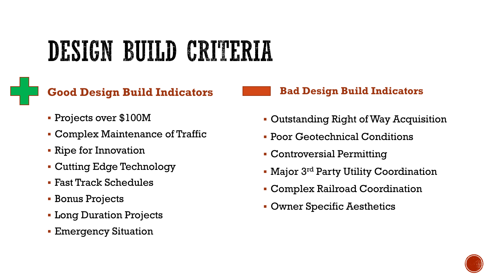## DESIGN BUILD CRITERIA

### **Good Design Build Indicators**

- Projects over \$100M
- Complex Maintenance of Traffic
- Ripe for Innovation
- Cutting Edge Technology
- Fast Track Schedules
- Bonus Projects
- **E** Long Duration Projects
- **Emergency Situation**

#### **Bad Design Build Indicators**

- Outstanding Right of Way Acquisition
- **Poor Geotechnical Conditions**
- **Controversial Permitting**
- **Major 3<sup>rd</sup> Party Utility Coordination**
- Complex Railroad Coordination
- Owner Specific Aesthetics

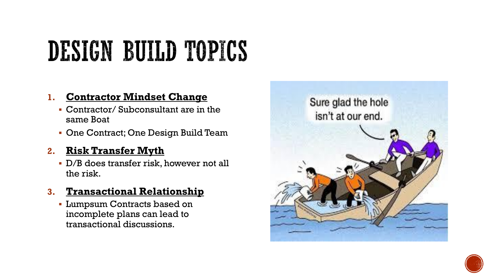## DESIGN BUILD TOPICS

#### **1. Contractor Mindset Change**

- Contractor/ Subconsultant are in the same Boat
- One Contract; One Design Build Team

#### **2. Risk Transfer Myth**

▪ D/B does transfer risk, however not all the risk.

#### **3. Transactional Relationship**

**• Lumpsum Contracts based on** incomplete plans can lead to transactional discussions.



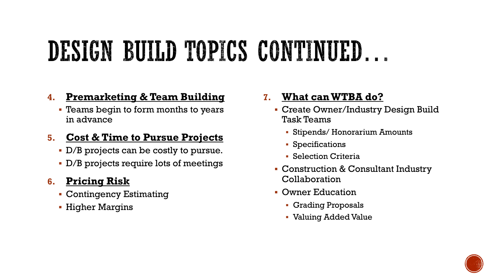### DESIGN BUILD TOPICS CONTINUED.

### **4. Premarketing & Team Building**

**• Teams begin to form months to years** in advance

### **5. Cost & Time to Pursue Projects**

- D/B projects can be costly to pursue.
- D/B projects require lots of meetings

### **6. Pricing Risk**

- **Contingency Estimating**
- **Higher Margins**

### **7. What can WTBA do?**

- **Create Owner/Industry Design Build** Task Teams
	- Stipends/ Honorarium Amounts
	- Specifications
	- **Selection Criteria**
- **Construction & Consultant Industry** Collaboration
- Owner Education
	- Grading Proposals
	- Valuing Added Value